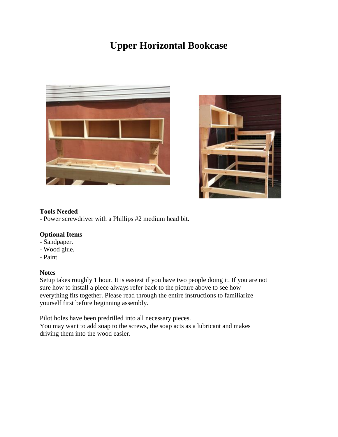# **Upper Horizontal Bookcase**





#### **Tools Needed**

- Power screwdriver with a Phillips #2 medium head bit.

#### **Optional Items**

- Sandpaper.
- Wood glue.
- Paint

#### **Notes**

Setup takes roughly 1 hour. It is easiest if you have two people doing it. If you are not sure how to install a piece always refer back to the picture above to see how everything fits together. Please read through the entire instructions to familiarize yourself first before beginning assembly.

Pilot holes have been predrilled into all necessary pieces.

You may want to add soap to the screws, the soap acts as a lubricant and makes driving them into the wood easier.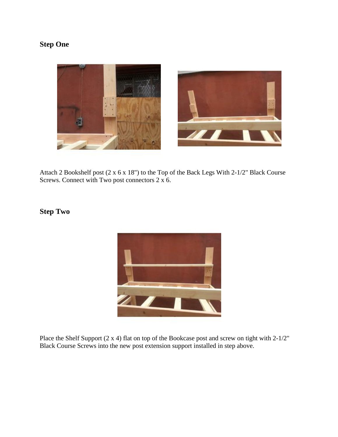# **Step One**



Attach 2 Bookshelf post (2 x 6 x 18") to the Top of the Back Legs With 2-1/2" Black Course Screws. Connect with Two post connectors 2 x 6.

### **Step Two**



Place the Shelf Support (2 x 4) flat on top of the Bookcase post and screw on tight with 2-1/2" Black Course Screws into the new post extension support installed in step above.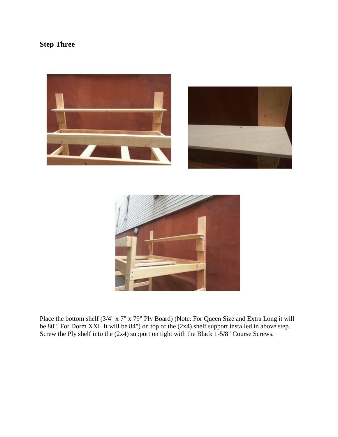# **Step Three**





Place the bottom shelf (3/4" x 7" x 79" Ply Board) (Note: For Queen Size and Extra Long it will be 80". For Dorm XXL It will be 84") on top of the (2x4) shelf support installed in above step. Screw the Ply shelf into the  $(2x4)$  support on tight with the Black  $1-5/8$ " Course Screws.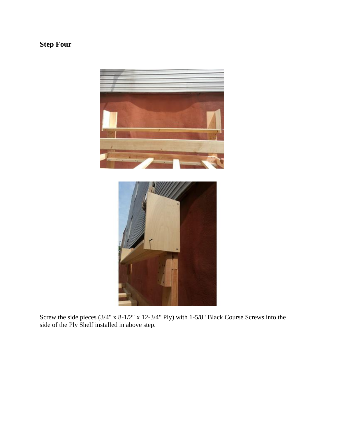# **Step Four**





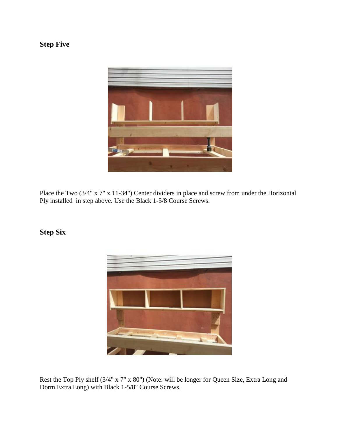### **Step Five**



Place the Two (3/4" x 7" x 11-34") Center dividers in place and screw from under the Horizontal Ply installed in step above. Use the Black 1-5/8 Course Screws.

### **Step Six**



Rest the Top Ply shelf (3/4" x 7" x 80") (Note: will be longer for Queen Size, Extra Long and Dorm Extra Long) with Black 1-5/8" Course Screws.